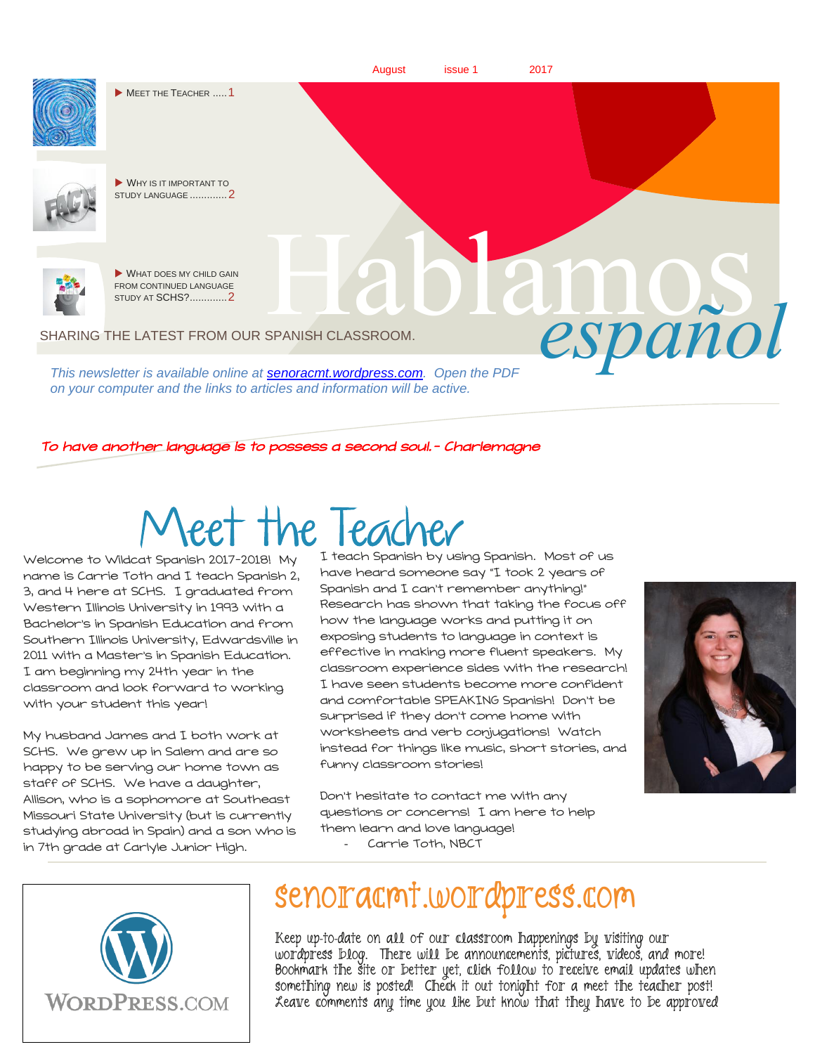

*This newsletter is available online at [senoracmt.wordpress.com.](file:///C:/Users/Carrie/Documents/a%20spanish%20I/2014-15/senoracmt.wordpress.com) Open the PDF on your computer and the links to articles and information will be active.*

#### To have another language is to possess a second soul.- Charlemagne

# **Neet the Teach**

Welcome to Wildcat Spanish 2017-2018! My name is Carrie Toth and I teach Spanish 2, 3, and 4 here at SCHS. I graduated from Western Illinois University in 1993 with a Bachelor's in Spanish Education and from Southern Illinois University, Edwardsville in 2011 with a Master's in Spanish Education. I am beginning my 24th year in the classroom and look forward to working with your student this year!

My husband James and I both work at SCHS. We grew up in Salem and are so happy to be serving our home town as staff of SCHS. We have a daughter, Allison, who is a sophomore at Southeast Missouri State University (but is currently studying abroad in Spain) and a son who is in 7th grade at Carlyle Junior High.

I teach Spanish by using Spanish. Most of us have heard someone say "I took 2 years of Spanish and I can't remember anything!" Research has shown that taking the focus off how the language works and putting it on exposing students to language in context is effective in making more fluent speakers. My classroom experience sides with the research! I have seen students become more confident and comfortable SPEAKING Spanish! Don't be surprised if they don't come home with worksheets and verb conjugations! Watch instead for things like music, short stories, and funny classroom stories!



Don't hesitate to contact me with any questions or concerns! I am here to help them learn and love language! Carrie Toth, NBCT



## senoracmt.wordpress.com

Keep up-to-date on all of our classroom happenings by visiting our wordpress blog. There will be announcements, pictures, videos, and more! Bookmark the site or better yet, click follow to receive email updates when something new is posted! Check it out tonight for a meet the teacher post! Leave comments any time you like but know that they have to be approved